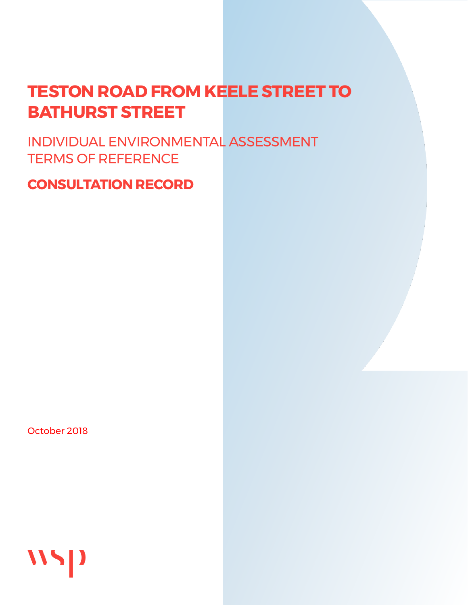# **TESTON ROAD FROM KEELE STREET TO BATHURST STREET**

INDIVIDUAL ENVIRONMENTAL ASSESSMENT TERMS OF REFERENCE

# **CONSULTATION RECORD**

October 2018

WSD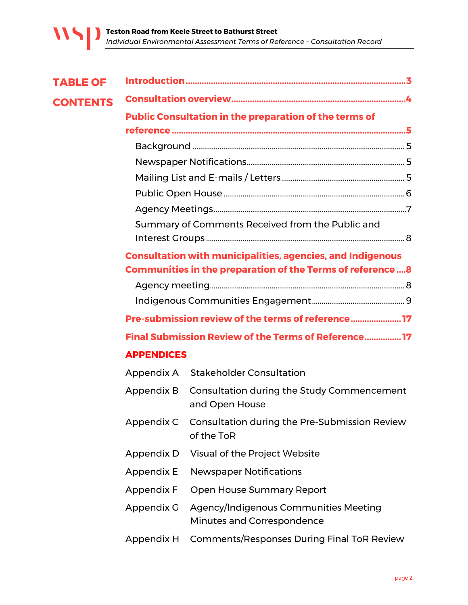| <b>TABLE OF</b> |                   |                                                                                                                                       |  |
|-----------------|-------------------|---------------------------------------------------------------------------------------------------------------------------------------|--|
| <b>CONTENTS</b> |                   |                                                                                                                                       |  |
|                 |                   | <b>Public Consultation in the preparation of the terms of</b>                                                                         |  |
|                 |                   |                                                                                                                                       |  |
|                 |                   |                                                                                                                                       |  |
|                 |                   |                                                                                                                                       |  |
|                 |                   |                                                                                                                                       |  |
|                 |                   |                                                                                                                                       |  |
|                 |                   |                                                                                                                                       |  |
|                 |                   | Summary of Comments Received from the Public and                                                                                      |  |
|                 |                   | <b>Consultation with municipalities, agencies, and Indigenous</b><br><b>Communities in the preparation of the Terms of reference8</b> |  |
|                 |                   |                                                                                                                                       |  |
|                 |                   |                                                                                                                                       |  |
|                 |                   | Pre-submission review of the terms of reference 17                                                                                    |  |
|                 |                   | Final Submission Review of the Terms of Reference 17                                                                                  |  |
|                 | <b>APPENDICES</b> |                                                                                                                                       |  |
|                 | Appendix A        | <b>Stakeholder Consultation</b>                                                                                                       |  |
|                 | Appendix B        | Consultation during the Study Commencement<br>and Open House                                                                          |  |
|                 | Appendix C        | Consultation during the Pre-Submission Review<br>of the ToR                                                                           |  |
|                 | Appendix D        | Visual of the Project Website                                                                                                         |  |
|                 | Appendix E        | <b>Newspaper Notifications</b>                                                                                                        |  |
|                 | <b>Appendix F</b> | <b>Open House Summary Report</b>                                                                                                      |  |
|                 | Appendix G        | Agency/Indigenous Communities Meeting<br>Minutes and Correspondence                                                                   |  |
|                 | Appendix H        | <b>Comments/Responses During Final ToR Review</b>                                                                                     |  |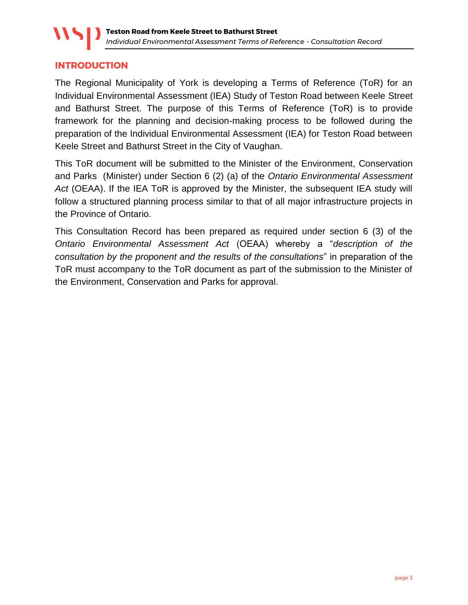#### <span id="page-2-0"></span>**INTRODUCTION**

The Regional Municipality of York is developing a Terms of Reference (ToR) for an Individual Environmental Assessment (IEA) Study of Teston Road between Keele Street and Bathurst Street. The purpose of this Terms of Reference (ToR) is to provide framework for the planning and decision-making process to be followed during the preparation of the Individual Environmental Assessment (IEA) for Teston Road between Keele Street and Bathurst Street in the City of Vaughan.

This ToR document will be submitted to the Minister of the Environment, Conservation and Parks (Minister) under Section 6 (2) (a) of the *Ontario Environmental Assessment Act* (OEAA). If the IEA ToR is approved by the Minister, the subsequent IEA study will follow a structured planning process similar to that of all major infrastructure projects in the Province of Ontario.

This Consultation Record has been prepared as required under section 6 (3) of the *Ontario Environmental Assessment Act* (OEAA) whereby a "*description of the consultation by the proponent and the results of the consultations*" in preparation of the ToR must accompany to the ToR document as part of the submission to the Minister of the Environment, Conservation and Parks for approval.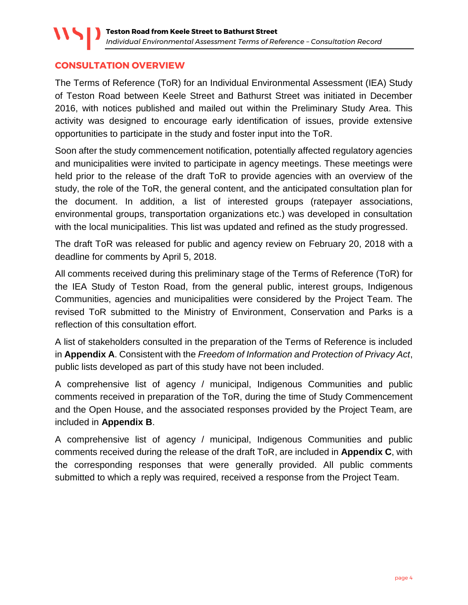#### <span id="page-3-0"></span>**CONSULTATION OVERVIEW**

The Terms of Reference (ToR) for an Individual Environmental Assessment (IEA) Study of Teston Road between Keele Street and Bathurst Street was initiated in December 2016, with notices published and mailed out within the Preliminary Study Area. This activity was designed to encourage early identification of issues, provide extensive opportunities to participate in the study and foster input into the ToR.

Soon after the study commencement notification, potentially affected regulatory agencies and municipalities were invited to participate in agency meetings. These meetings were held prior to the release of the draft ToR to provide agencies with an overview of the study, the role of the ToR, the general content, and the anticipated consultation plan for the document. In addition, a list of interested groups (ratepayer associations, environmental groups, transportation organizations etc.) was developed in consultation with the local municipalities. This list was updated and refined as the study progressed.

The draft ToR was released for public and agency review on February 20, 2018 with a deadline for comments by April 5, 2018.

All comments received during this preliminary stage of the Terms of Reference (ToR) for the IEA Study of Teston Road, from the general public, interest groups, Indigenous Communities, agencies and municipalities were considered by the Project Team. The revised ToR submitted to the Ministry of Environment, Conservation and Parks is a reflection of this consultation effort.

A list of stakeholders consulted in the preparation of the Terms of Reference is included in **Appendix A**. Consistent with the *Freedom of Information and Protection of Privacy Act*, public lists developed as part of this study have not been included.

A comprehensive list of agency / municipal, Indigenous Communities and public comments received in preparation of the ToR, during the time of Study Commencement and the Open House, and the associated responses provided by the Project Team, are included in **Appendix B**.

A comprehensive list of agency / municipal, Indigenous Communities and public comments received during the release of the draft ToR, are included in **Appendix C**, with the corresponding responses that were generally provided. All public comments submitted to which a reply was required, received a response from the Project Team.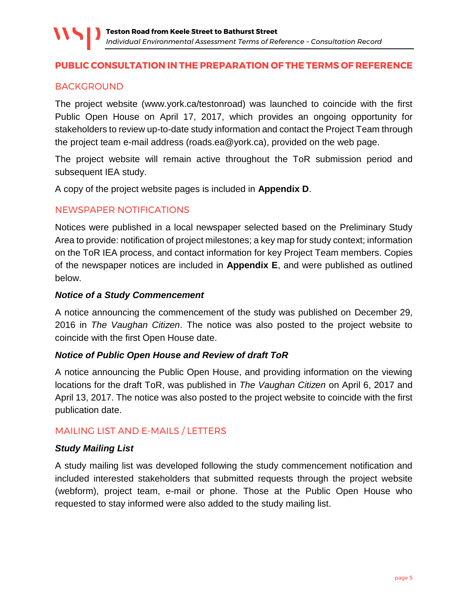#### <span id="page-4-0"></span>**PUBLIC CONSULTATION IN THE PREPARATION OF THE TERMS OF REFERENCE**

#### <span id="page-4-1"></span>BACKGROUND

The project website (www.york.ca/testonroad) was launched to coincide with the first Public Open House on April 17, 2017, which provides an ongoing opportunity for stakeholders to review up-to-date study information and contact the Project Team through the project team e-mail address (roads.ea@york.ca), provided on the web page.

The project website will remain active throughout the ToR submission period and subsequent IEA study.

A copy of the project website pages is included in **Appendix D**.

#### <span id="page-4-2"></span>NEWSPAPER NOTIFICATIONS

Notices were published in a local newspaper selected based on the Preliminary Study Area to provide: notification of project milestones; a key map for study context; information on the ToR IEA process, and contact information for key Project Team members. Copies of the newspaper notices are included in **Appendix E**, and were published as outlined below.

#### *Notice of a Study Commencement*

A notice announcing the commencement of the study was published on December 29, 2016 in *The Vaughan Citizen*. The notice was also posted to the project website to coincide with the first Open House date.

#### *Notice of Public Open House and Review of draft ToR*

A notice announcing the Public Open House, and providing information on the viewing locations for the draft ToR, was published in *The Vaughan Citizen* on April 6, 2017 and April 13, 2017. The notice was also posted to the project website to coincide with the first publication date.

#### <span id="page-4-3"></span>MAILING LIST AND E-MAILS / LETTERS

#### *Study Mailing List*

A study mailing list was developed following the study commencement notification and included interested stakeholders that submitted requests through the project website (webform), project team, e-mail or phone. Those at the Public Open House who requested to stay informed were also added to the study mailing list.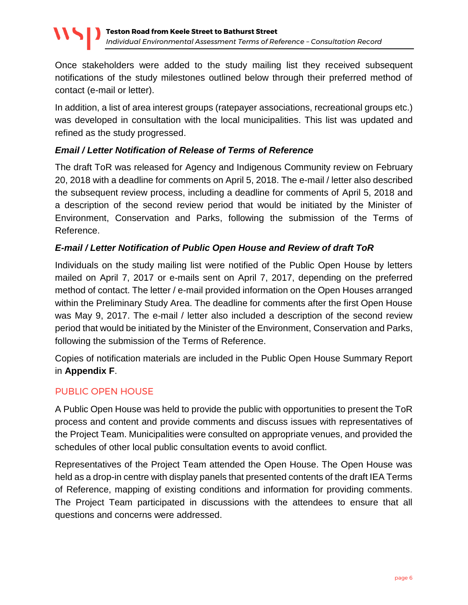Once stakeholders were added to the study mailing list they received subsequent notifications of the study milestones outlined below through their preferred method of contact (e-mail or letter).

In addition, a list of area interest groups (ratepayer associations, recreational groups etc.) was developed in consultation with the local municipalities. This list was updated and refined as the study progressed.

#### *Email / Letter Notification of Release of Terms of Reference*

The draft ToR was released for Agency and Indigenous Community review on February 20, 2018 with a deadline for comments on April 5, 2018. The e-mail / letter also described the subsequent review process, including a deadline for comments of April 5, 2018 and a description of the second review period that would be initiated by the Minister of Environment, Conservation and Parks, following the submission of the Terms of Reference.

#### *E-mail / Letter Notification of Public Open House and Review of draft ToR*

Individuals on the study mailing list were notified of the Public Open House by letters mailed on April 7, 2017 or e-mails sent on April 7, 2017, depending on the preferred method of contact. The letter / e-mail provided information on the Open Houses arranged within the Preliminary Study Area. The deadline for comments after the first Open House was May 9, 2017. The e-mail / letter also included a description of the second review period that would be initiated by the Minister of the Environment, Conservation and Parks, following the submission of the Terms of Reference.

Copies of notification materials are included in the Public Open House Summary Report in **Appendix F**.

#### <span id="page-5-0"></span>PUBLIC OPEN HOUSE

A Public Open House was held to provide the public with opportunities to present the ToR process and content and provide comments and discuss issues with representatives of the Project Team. Municipalities were consulted on appropriate venues, and provided the schedules of other local public consultation events to avoid conflict.

Representatives of the Project Team attended the Open House. The Open House was held as a drop-in centre with display panels that presented contents of the draft IEA Terms of Reference, mapping of existing conditions and information for providing comments. The Project Team participated in discussions with the attendees to ensure that all questions and concerns were addressed.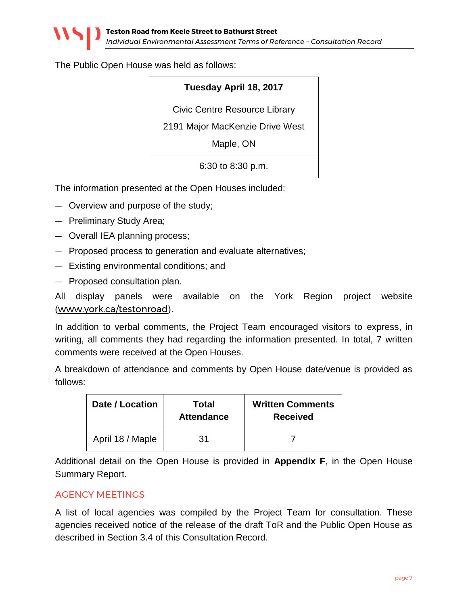The Public Open House was held as follows:

#### **Tuesday April 18, 2017**

Civic Centre Resource Library

2191 Major MacKenzie Drive West

Maple, ON

6:30 to 8:30 p.m.

The information presented at the Open Houses included:

- Overview and purpose of the study;
- Preliminary Study Area;
- Overall IEA planning process;
- Proposed process to generation and evaluate alternatives;
- Existing environmental conditions; and
- Proposed consultation plan.

All display panels were available on the York Region project website ([www.york.ca/testonroad](http://www.york.ca/testonroad)).

In addition to verbal comments, the Project Team encouraged visitors to express, in writing, all comments they had regarding the information presented. In total, 7 written comments were received at the Open Houses.

A breakdown of attendance and comments by Open House date/venue is provided as follows:

| Date / Location  | Total<br><b>Attendance</b> | <b>Written Comments</b><br><b>Received</b> |
|------------------|----------------------------|--------------------------------------------|
| April 18 / Maple | 31                         |                                            |

Additional detail on the Open House is provided in **Appendix F**, in the Open House Summary Report.

#### <span id="page-6-0"></span>AGENCY MEETINGS

A list of local agencies was compiled by the Project Team for consultation. These agencies received notice of the release of the draft ToR and the Public Open House as described in Section 3.4 of this Consultation Record.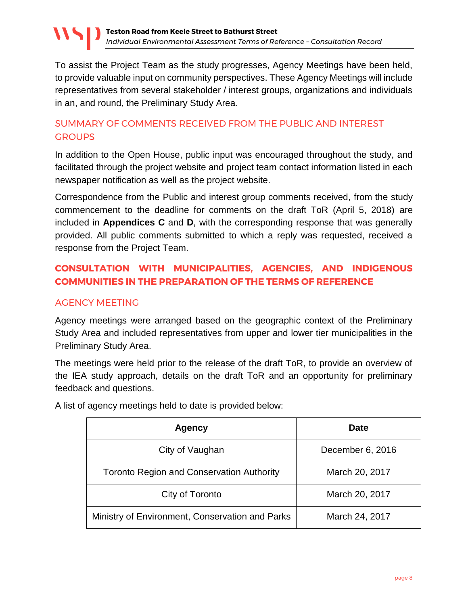To assist the Project Team as the study progresses, Agency Meetings have been held, to provide valuable input on community perspectives. These Agency Meetings will include representatives from several stakeholder / interest groups, organizations and individuals in an, and round, the Preliminary Study Area.

# <span id="page-7-0"></span>SUMMARY OF COMMENTS RECEIVED FROM THE PUBLIC AND INTEREST **GROUPS**

In addition to the Open House, public input was encouraged throughout the study, and facilitated through the project website and project team contact information listed in each newspaper notification as well as the project website.

Correspondence from the Public and interest group comments received, from the study commencement to the deadline for comments on the draft ToR (April 5, 2018) are included in **Appendices C** and **D**, with the corresponding response that was generally provided. All public comments submitted to which a reply was requested, received a response from the Project Team.

# <span id="page-7-1"></span>**CONSULTATION WITH MUNICIPALITIES, AGENCIES, AND INDIGENOUS COMMUNITIES IN THE PREPARATION OF THE TERMS OF REFERENCE**

# <span id="page-7-2"></span>AGENCY MEETING

Agency meetings were arranged based on the geographic context of the Preliminary Study Area and included representatives from upper and lower tier municipalities in the Preliminary Study Area.

The meetings were held prior to the release of the draft ToR, to provide an overview of the IEA study approach, details on the draft ToR and an opportunity for preliminary feedback and questions.

| <b>Agency</b>                                    | Date             |
|--------------------------------------------------|------------------|
| City of Vaughan                                  | December 6, 2016 |
| <b>Toronto Region and Conservation Authority</b> | March 20, 2017   |
| City of Toronto                                  | March 20, 2017   |
| Ministry of Environment, Conservation and Parks  | March 24, 2017   |

A list of agency meetings held to date is provided below: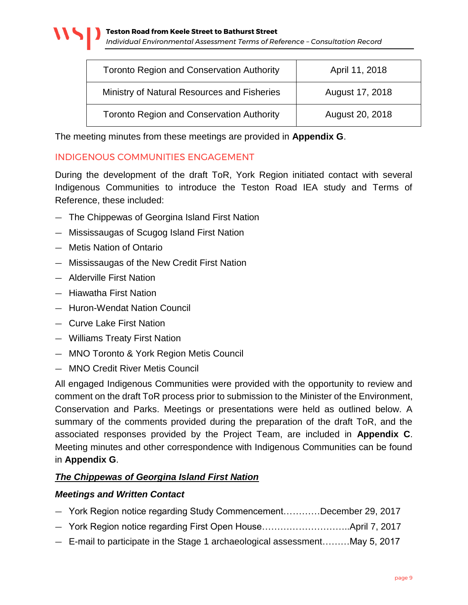| <b>Toronto Region and Conservation Authority</b> | April 11, 2018  |
|--------------------------------------------------|-----------------|
| Ministry of Natural Resources and Fisheries      | August 17, 2018 |
| <b>Toronto Region and Conservation Authority</b> | August 20, 2018 |

The meeting minutes from these meetings are provided in **Appendix G**.

#### <span id="page-8-0"></span>INDIGENOUS COMMUNITIES ENGAGEMENT

During the development of the draft ToR, York Region initiated contact with several Indigenous Communities to introduce the Teston Road IEA study and Terms of Reference, these included:

- The Chippewas of Georgina Island First Nation
- Mississaugas of Scugog Island First Nation
- Metis Nation of Ontario
- Mississaugas of the New Credit First Nation
- Alderville First Nation
- Hiawatha First Nation
- Huron-Wendat Nation Council
- Curve Lake First Nation
- Williams Treaty First Nation
- MNO Toronto & York Region Metis Council
- MNO Credit River Metis Council

All engaged Indigenous Communities were provided with the opportunity to review and comment on the draft ToR process prior to submission to the Minister of the Environment, Conservation and Parks. Meetings or presentations were held as outlined below. A summary of the comments provided during the preparation of the draft ToR, and the associated responses provided by the Project Team, are included in **Appendix C**. Meeting minutes and other correspondence with Indigenous Communities can be found in **Appendix G**.

#### *The Chippewas of Georgina Island First Nation*

#### *Meetings and Written Contact*

- York Region notice regarding Study Commencement…………December 29, 2017
- York Region notice regarding First Open House………………………..April 7, 2017
- E-mail to participate in the Stage 1 archaeological assessment………May 5, 2017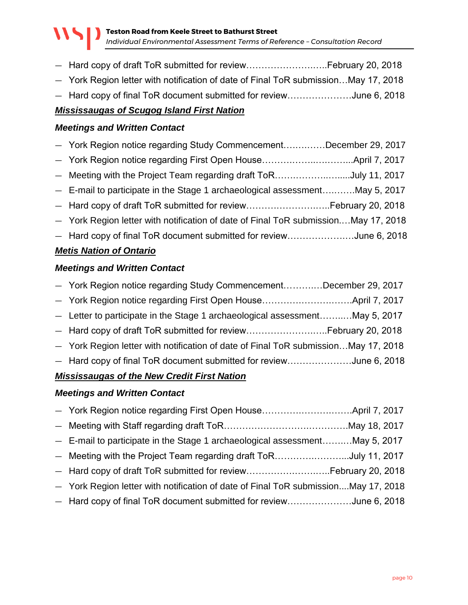- Hard copy of draft ToR submitted for review………………….…..February 20, 2018
- York Region letter with notification of date of Final ToR submission…May 17, 2018
- Hard copy of final ToR document submitted for review…………………June 6, 2018

## *Mississaugas of Scugog Island First Nation*

#### *Meetings and Written Contact*

— York Region notice regarding Study Commencement….….……December 29, 2017 — York Region notice regarding First Open House……….……..….……...April 7, 2017 — Meeting with the Project Team regarding draft ToR…….………..….....July 11, 2017 — E-mail to participate in the Stage 1 archaeological assessment….…….May 5, 2017 — Hard copy of draft ToR submitted for review……….………….…..February 20, 2018 — York Region letter with notification of date of Final ToR submission.…May 17, 2018 — Hard copy of final ToR document submitted for review……………….…June 6, 2018

#### *Metis Nation of Ontario*

#### *Meetings and Written Contact*

| - York Region notice regarding Study CommencementDecember 29, 2017                 |  |  |
|------------------------------------------------------------------------------------|--|--|
|                                                                                    |  |  |
| - Letter to participate in the Stage 1 archaeological assessmentMay 5, 2017        |  |  |
| - Hard copy of draft ToR submitted for reviewFebruary 20, 2018                     |  |  |
| - York Region letter with notification of date of Final ToR submissionMay 17, 2018 |  |  |
| - Hard copy of final ToR document submitted for reviewJune 6, 2018                 |  |  |
| <b>Mississaugas of the New Credit First Nation</b>                                 |  |  |

#### *Meetings and Written Contact*

| - E-mail to participate in the Stage 1 archaeological assessmentMay 5, 2017        |  |
|------------------------------------------------------------------------------------|--|
| - Meeting with the Project Team regarding draft ToRJuly 11, 2017                   |  |
| - Hard copy of draft ToR submitted for reviewFebruary 20, 2018                     |  |
| - York Region letter with notification of date of Final ToR submissionMay 17, 2018 |  |
| - Hard copy of final ToR document submitted for reviewJune 6, 2018                 |  |
|                                                                                    |  |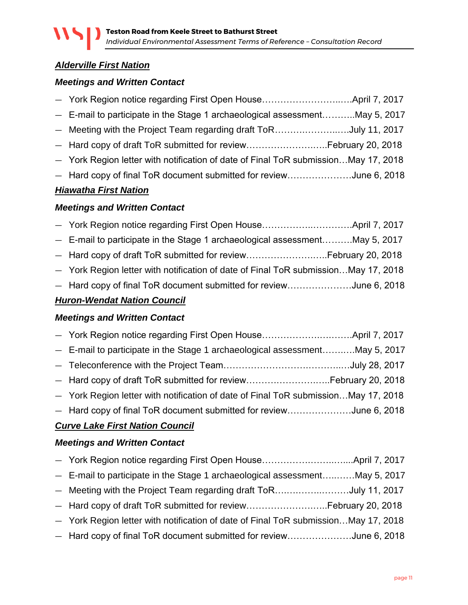# *Alderville First Nation*

#### *Meetings and Written Contact*

| - E-mail to participate in the Stage 1 archaeological assessmentMay 5, 2017        |  |
|------------------------------------------------------------------------------------|--|
| - Meeting with the Project Team regarding draft ToRJuly 11, 2017                   |  |
| - Hard copy of draft ToR submitted for reviewFebruary 20, 2018                     |  |
| - York Region letter with notification of date of Final ToR submissionMay 17, 2018 |  |
| - Hard copy of final ToR document submitted for reviewJune 6, 2018                 |  |
|                                                                                    |  |

#### *Hiawatha First Nation*

## *Meetings and Written Contact*

| <b>Huron-Wendat Nation Council</b>                                                 |  |
|------------------------------------------------------------------------------------|--|
| - Hard copy of final ToR document submitted for reviewJune 6, 2018                 |  |
| - York Region letter with notification of date of Final ToR submissionMay 17, 2018 |  |
|                                                                                    |  |
| - E-mail to participate in the Stage 1 archaeological assessmentMay 5, 2017        |  |
|                                                                                    |  |

#### *Meetings and Written Contact*

| - E-mail to participate in the Stage 1 archaeological assessmentMay 5, 2017        |  |
|------------------------------------------------------------------------------------|--|
|                                                                                    |  |
|                                                                                    |  |
| - York Region letter with notification of date of Final ToR submissionMay 17, 2018 |  |
| - Hard copy of final ToR document submitted for reviewJune 6, 2018                 |  |
|                                                                                    |  |

# *Curve Lake First Nation Council*

#### *Meetings and Written Contact*

| - E-mail to participate in the Stage 1 archaeological assessmentMay 5, 2017        |  |
|------------------------------------------------------------------------------------|--|
| - Meeting with the Project Team regarding draft ToRJuly 11, 2017                   |  |
|                                                                                    |  |
| - York Region letter with notification of date of Final ToR submissionMay 17, 2018 |  |
| - Hard copy of final ToR document submitted for reviewJune 6, 2018                 |  |
|                                                                                    |  |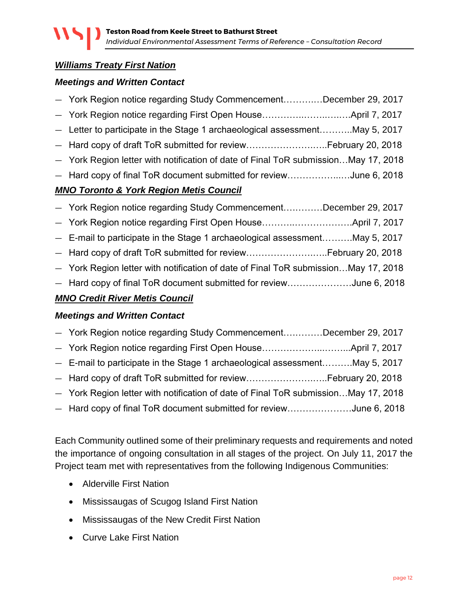# *Williams Treaty First Nation*

#### *Meetings and Written Contact*

| $MAI \cap Tayanta$ , $\theta$ , $Vax! \cap Dayian$ , $Mati \cap Cayia$ ;           |  |
|------------------------------------------------------------------------------------|--|
| - Hard copy of final ToR document submitted for reviewJune 6, 2018                 |  |
| - York Region letter with notification of date of Final ToR submissionMay 17, 2018 |  |
| - Hard copy of draft ToR submitted for reviewFebruary 20, 2018                     |  |
| - Letter to participate in the Stage 1 archaeological assessmentMay 5, 2017        |  |
|                                                                                    |  |
| - York Region notice regarding Study CommencementDecember 29, 2017                 |  |

#### *MNO Toronto & York Region Metis Council*

| - York Region notice regarding Study CommencementDecember 29, 2017                 |
|------------------------------------------------------------------------------------|
|                                                                                    |
| - E-mail to participate in the Stage 1 archaeological assessmentMay 5, 2017        |
| - Hard copy of draft ToR submitted for reviewFebruary 20, 2018                     |
| - York Region letter with notification of date of Final ToR submissionMay 17, 2018 |
| - Hard copy of final ToR document submitted for reviewJune 6, 2018                 |
|                                                                                    |

#### *MNO Credit River Metis Council*

#### *Meetings and Written Contact*

| - York Region notice regarding Study CommencementDecember 29, 2017                 |  |
|------------------------------------------------------------------------------------|--|
|                                                                                    |  |
| - E-mail to participate in the Stage 1 archaeological assessmentMay 5, 2017        |  |
| - Hard copy of draft ToR submitted for reviewFebruary 20, 2018                     |  |
| - York Region letter with notification of date of Final ToR submissionMay 17, 2018 |  |
| - Hard copy of final ToR document submitted for reviewJune 6, 2018                 |  |

Each Community outlined some of their preliminary requests and requirements and noted the importance of ongoing consultation in all stages of the project. On July 11, 2017 the Project team met with representatives from the following Indigenous Communities:

- Alderville First Nation
- Mississaugas of Scugog Island First Nation
- Mississaugas of the New Credit First Nation
- Curve Lake First Nation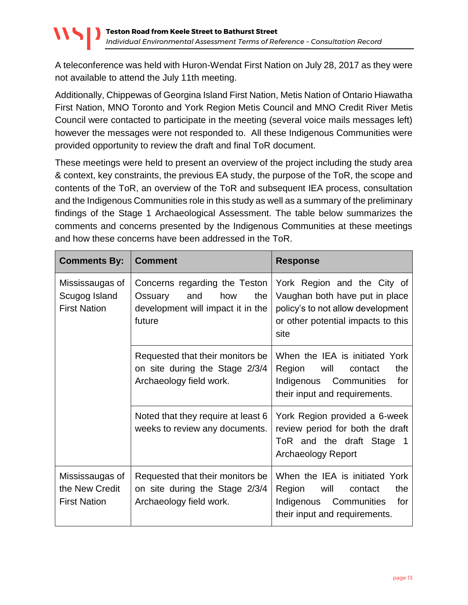A teleconference was held with Huron-Wendat First Nation on July 28, 2017 as they were not available to attend the July 11th meeting.

Additionally, Chippewas of Georgina Island First Nation, Metis Nation of Ontario Hiawatha First Nation, MNO Toronto and York Region Metis Council and MNO Credit River Metis Council were contacted to participate in the meeting (several voice mails messages left) however the messages were not responded to. All these Indigenous Communities were provided opportunity to review the draft and final ToR document.

These meetings were held to present an overview of the project including the study area & context, key constraints, the previous EA study, the purpose of the ToR, the scope and contents of the ToR, an overview of the ToR and subsequent IEA process, consultation and the Indigenous Communities role in this study as well as a summary of the preliminary findings of the Stage 1 Archaeological Assessment. The table below summarizes the comments and concerns presented by the Indigenous Communities at these meetings and how these concerns have been addressed in the ToR.

| <b>Comments By:</b>                                      | <b>Comment</b>                                                                                               | <b>Response</b>                                                                                                                                  |
|----------------------------------------------------------|--------------------------------------------------------------------------------------------------------------|--------------------------------------------------------------------------------------------------------------------------------------------------|
| Mississaugas of<br>Scugog Island<br><b>First Nation</b>  | Concerns regarding the Teston<br>how<br>and<br>the<br>Ossuary<br>development will impact it in the<br>future | York Region and the City of<br>Vaughan both have put in place<br>policy's to not allow development<br>or other potential impacts to this<br>site |
|                                                          | Requested that their monitors be<br>on site during the Stage 2/3/4<br>Archaeology field work.                | When the IEA is initiated York<br>will<br>the<br>Region<br>contact<br>Indigenous Communities<br>for<br>their input and requirements.             |
|                                                          | Noted that they require at least 6<br>weeks to review any documents.                                         | York Region provided a 6-week<br>review period for both the draft<br>ToR and the draft Stage 1<br><b>Archaeology Report</b>                      |
| Mississaugas of<br>the New Credit<br><b>First Nation</b> | Requested that their monitors be<br>on site during the Stage 2/3/4<br>Archaeology field work.                | When the IEA is initiated York<br>will<br>the<br>Region<br>contact<br>Indigenous<br>Communities<br>for<br>their input and requirements.          |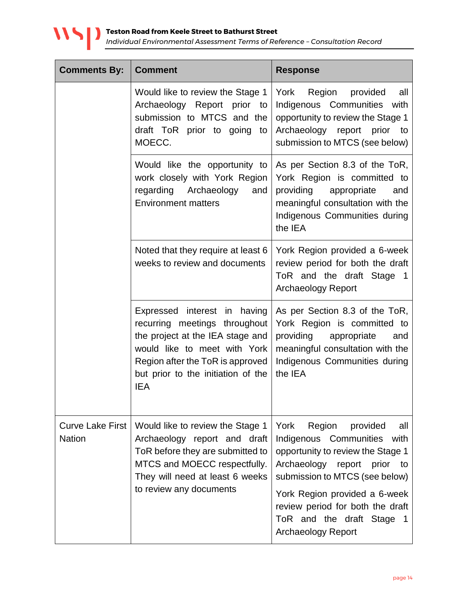

| <b>Comments By:</b>                      | <b>Comment</b>                                                                                                                                                                                                            | <b>Response</b>                                                                                                                                                                                                                                                                                             |
|------------------------------------------|---------------------------------------------------------------------------------------------------------------------------------------------------------------------------------------------------------------------------|-------------------------------------------------------------------------------------------------------------------------------------------------------------------------------------------------------------------------------------------------------------------------------------------------------------|
|                                          | Would like to review the Stage 1<br>Archaeology Report prior to<br>submission to MTCS and the<br>draft ToR prior to going<br>to<br>MOECC.                                                                                 | York<br>Region<br>provided<br>all<br>Indigenous Communities with<br>opportunity to review the Stage 1<br>Archaeology report prior to<br>submission to MTCS (see below)                                                                                                                                      |
|                                          | Would like the opportunity to<br>work closely with York Region<br>regarding Archaeology<br>and<br><b>Environment matters</b>                                                                                              | As per Section 8.3 of the ToR,<br>York Region is committed to<br>providing<br>appropriate<br>and<br>meaningful consultation with the<br>Indigenous Communities during<br>the IEA                                                                                                                            |
|                                          | Noted that they require at least 6<br>weeks to review and documents                                                                                                                                                       | York Region provided a 6-week<br>review period for both the draft<br>ToR and the draft Stage 1<br><b>Archaeology Report</b>                                                                                                                                                                                 |
|                                          | Expressed interest in having<br>recurring meetings throughout<br>the project at the IEA stage and<br>would like to meet with York<br>Region after the ToR is approved<br>but prior to the initiation of the<br><b>IEA</b> | As per Section 8.3 of the ToR,<br>York Region is committed to<br>providing<br>appropriate<br>and<br>meaningful consultation with the<br>Indigenous Communities during<br>the IEA                                                                                                                            |
| <b>Curve Lake First</b><br><b>Nation</b> | Would like to review the Stage 1<br>Archaeology report and draft<br>ToR before they are submitted to<br>MTCS and MOECC respectfully.<br>They will need at least 6 weeks<br>to review any documents                        | York<br>Region<br>provided<br>all<br>Indigenous Communities<br>with<br>opportunity to review the Stage 1<br>Archaeology report prior<br>to<br>submission to MTCS (see below)<br>York Region provided a 6-week<br>review period for both the draft<br>ToR and the draft Stage 1<br><b>Archaeology Report</b> |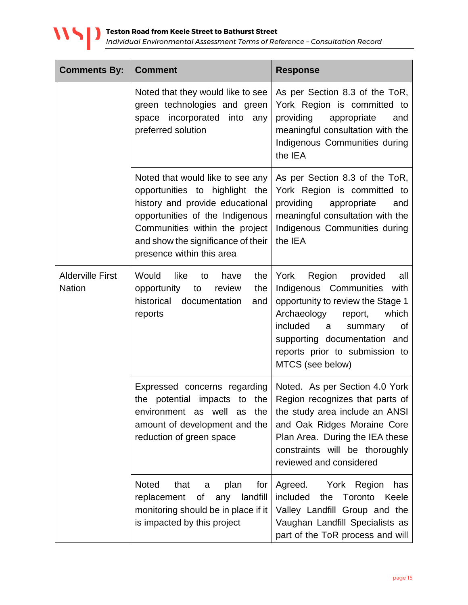

| <b>Comments By:</b>                      | <b>Comment</b>                                                                                                                                                                                                                                   | <b>Response</b>                                                                                                                                                                                                                                                     |
|------------------------------------------|--------------------------------------------------------------------------------------------------------------------------------------------------------------------------------------------------------------------------------------------------|---------------------------------------------------------------------------------------------------------------------------------------------------------------------------------------------------------------------------------------------------------------------|
|                                          | Noted that they would like to see<br>green technologies and green<br>incorporated<br>into<br>space<br>any<br>preferred solution                                                                                                                  | As per Section 8.3 of the ToR,<br>York Region is committed to<br>providing<br>appropriate<br>and<br>meaningful consultation with the<br>Indigenous Communities during<br>the IEA                                                                                    |
|                                          | Noted that would like to see any<br>highlight the<br>opportunities to<br>history and provide educational<br>opportunities of the Indigenous<br>Communities within the project<br>and show the significance of their<br>presence within this area | As per Section 8.3 of the ToR,<br>York Region is committed to<br>providing<br>appropriate<br>and<br>meaningful consultation with the<br>Indigenous Communities during<br>the IEA                                                                                    |
| <b>Alderville First</b><br><b>Nation</b> | Would<br>like<br>the<br>have<br>to<br>opportunity<br>review<br>the<br>to<br>historical<br>documentation<br>and<br>reports                                                                                                                        | York<br>Region<br>provided<br>all<br>Indigenous Communities<br>with<br>opportunity to review the Stage 1<br>Archaeology<br>which<br>report,<br>included<br>a<br>summary<br>Οf<br>supporting documentation and<br>reports prior to submission to<br>MTCS (see below) |
|                                          | Expressed concerns regarding<br>the potential impacts<br>the<br>to<br>environment as well as the<br>amount of development and the<br>reduction of green space                                                                                    | Noted. As per Section 4.0 York<br>Region recognizes that parts of<br>the study area include an ANSI<br>and Oak Ridges Moraine Core<br>Plan Area. During the IEA these<br>constraints will be thoroughly<br>reviewed and considered                                  |
|                                          | <b>Noted</b><br>that<br>plan<br>for<br>a<br>replacement<br>landfill<br>of<br>any<br>monitoring should be in place if it<br>is impacted by this project                                                                                           | Agreed. York Region<br>has<br>included<br>the<br>Toronto<br>Keele<br>Valley Landfill Group and the<br>Vaughan Landfill Specialists as<br>part of the ToR process and will                                                                                           |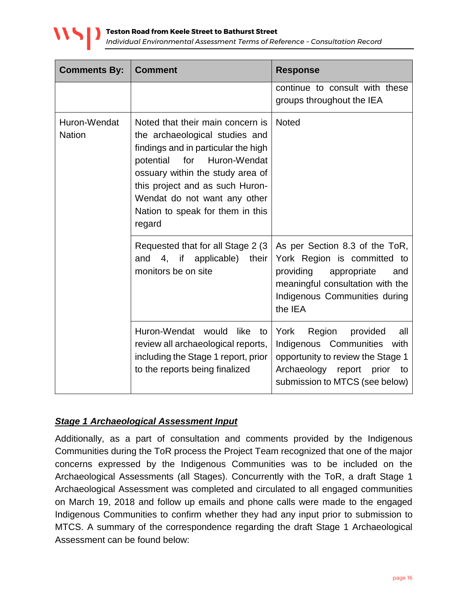

| <b>Comments By:</b>           | <b>Comment</b>                                                                                                                                                                                                                                                                                     | <b>Response</b>                                                                                                                                                                  |
|-------------------------------|----------------------------------------------------------------------------------------------------------------------------------------------------------------------------------------------------------------------------------------------------------------------------------------------------|----------------------------------------------------------------------------------------------------------------------------------------------------------------------------------|
|                               |                                                                                                                                                                                                                                                                                                    | continue to consult with these<br>groups throughout the IEA                                                                                                                      |
| Huron-Wendat<br><b>Nation</b> | Noted that their main concern is<br>the archaeological studies and<br>findings and in particular the high<br>Huron-Wendat<br>potential<br>for<br>ossuary within the study area of<br>this project and as such Huron-<br>Wendat do not want any other<br>Nation to speak for them in this<br>regard | <b>Noted</b>                                                                                                                                                                     |
|                               | Requested that for all Stage 2 (3)<br>and 4, if applicable)<br>their<br>monitors be on site                                                                                                                                                                                                        | As per Section 8.3 of the ToR,<br>York Region is committed to<br>providing<br>appropriate<br>and<br>meaningful consultation with the<br>Indigenous Communities during<br>the IEA |
|                               | Huron-Wendat would<br>like<br>to<br>review all archaeological reports,<br>including the Stage 1 report, prior<br>to the reports being finalized                                                                                                                                                    | York<br>Region<br>provided<br>all<br>Indigenous Communities with<br>opportunity to review the Stage 1<br>Archaeology report prior<br>to:<br>submission to MTCS (see below)       |

#### *Stage 1 Archaeological Assessment Input*

Additionally, as a part of consultation and comments provided by the Indigenous Communities during the ToR process the Project Team recognized that one of the major concerns expressed by the Indigenous Communities was to be included on the Archaeological Assessments (all Stages). Concurrently with the ToR, a draft Stage 1 Archaeological Assessment was completed and circulated to all engaged communities on March 19, 2018 and follow up emails and phone calls were made to the engaged Indigenous Communities to confirm whether they had any input prior to submission to MTCS. A summary of the correspondence regarding the draft Stage 1 Archaeological Assessment can be found below: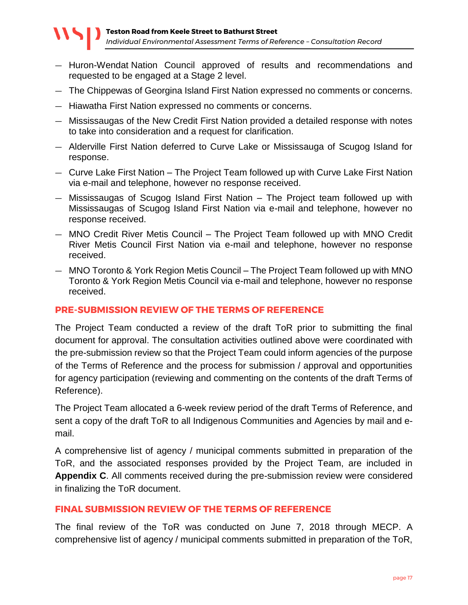- Huron-Wendat Nation Council approved of results and recommendations and requested to be engaged at a Stage 2 level.
- The Chippewas of Georgina Island First Nation expressed no comments or concerns.
- Hiawatha First Nation expressed no comments or concerns.
- Mississaugas of the New Credit First Nation provided a detailed response with notes to take into consideration and a request for clarification.
- Alderville First Nation deferred to Curve Lake or Mississauga of Scugog Island for response.
- Curve Lake First Nation The Project Team followed up with Curve Lake First Nation via e-mail and telephone, however no response received.
- Mississaugas of Scugog Island First Nation The Project team followed up with Mississaugas of Scugog Island First Nation via e-mail and telephone, however no response received.
- MNO Credit River Metis Council The Project Team followed up with MNO Credit River Metis Council First Nation via e-mail and telephone, however no response received.
- MNO Toronto & York Region Metis Council The Project Team followed up with MNO Toronto & York Region Metis Council via e-mail and telephone, however no response received.

#### <span id="page-16-0"></span>**PRE-SUBMISSION REVIEW OF THE TERMS OF REFERENCE**

The Project Team conducted a review of the draft ToR prior to submitting the final document for approval. The consultation activities outlined above were coordinated with the pre-submission review so that the Project Team could inform agencies of the purpose of the Terms of Reference and the process for submission / approval and opportunities for agency participation (reviewing and commenting on the contents of the draft Terms of Reference).

The Project Team allocated a 6-week review period of the draft Terms of Reference, and sent a copy of the draft ToR to all Indigenous Communities and Agencies by mail and email.

A comprehensive list of agency / municipal comments submitted in preparation of the ToR, and the associated responses provided by the Project Team, are included in **Appendix C**. All comments received during the pre-submission review were considered in finalizing the ToR document.

#### <span id="page-16-1"></span>**FINAL SUBMISSION REVIEW OF THE TERMS OF REFERENCE**

The final review of the ToR was conducted on June 7, 2018 through MECP. A comprehensive list of agency / municipal comments submitted in preparation of the ToR,